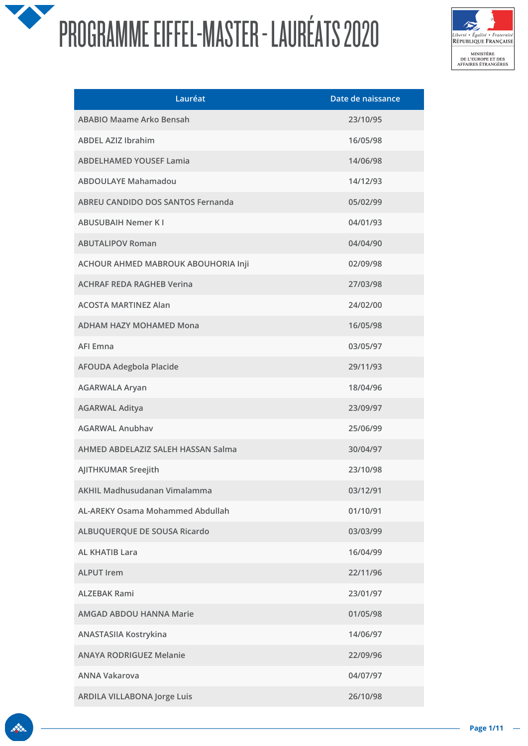

| Lauréat                                  | Date de naissance |
|------------------------------------------|-------------------|
| <b>ABABIO Maame Arko Bensah</b>          | 23/10/95          |
| <b>ABDEL AZIZ Ibrahim</b>                | 16/05/98          |
| <b>ABDELHAMED YOUSEF Lamia</b>           | 14/06/98          |
| <b>ABDOULAYE Mahamadou</b>               | 14/12/93          |
| <b>ABREU CANDIDO DOS SANTOS Fernanda</b> | 05/02/99          |
| <b>ABUSUBAIH Nemer KI</b>                | 04/01/93          |
| <b>ABUTALIPOV Roman</b>                  | 04/04/90          |
| ACHOUR AHMED MABROUK ABOUHORIA Inji      | 02/09/98          |
| <b>ACHRAF REDA RAGHEB Verina</b>         | 27/03/98          |
| <b>ACOSTA MARTINEZ Alan</b>              | 24/02/00          |
| <b>ADHAM HAZY MOHAMED Mona</b>           | 16/05/98          |
| <b>AFI Emna</b>                          | 03/05/97          |
| <b>AFOUDA Adegbola Placide</b>           | 29/11/93          |
| <b>AGARWALA Aryan</b>                    | 18/04/96          |
| <b>AGARWAL Aditya</b>                    | 23/09/97          |
| <b>AGARWAL Anubhav</b>                   | 25/06/99          |
| AHMED ABDELAZIZ SALEH HASSAN Salma       | 30/04/97          |
| AJITHKUMAR Sreejith                      | 23/10/98          |
| <b>AKHIL Madhusudanan Vimalamma</b>      | 03/12/91          |
| <b>AL-AREKY Osama Mohammed Abdullah</b>  | 01/10/91          |
| ALBUQUERQUE DE SOUSA Ricardo             | 03/03/99          |
| <b>AL KHATIB Lara</b>                    | 16/04/99          |
| <b>ALPUT Irem</b>                        | 22/11/96          |
| <b>ALZEBAK Rami</b>                      | 23/01/97          |
| <b>AMGAD ABDOU HANNA Marie</b>           | 01/05/98          |
| ANASTASIIA Kostrykina                    | 14/06/97          |
| <b>ANAYA RODRIGUEZ Melanie</b>           | 22/09/96          |
| <b>ANNA Vakarova</b>                     | 04/07/97          |
| <b>ARDILA VILLABONA Jorge Luis</b>       | 26/10/98          |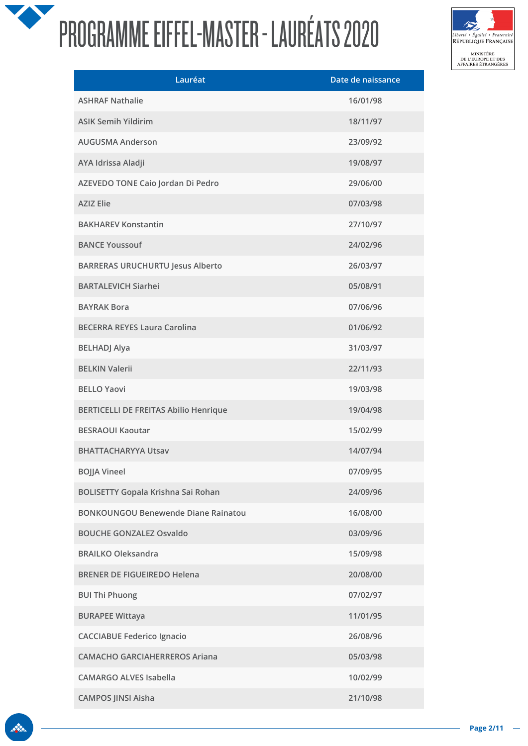

| Lauréat                                      | Date de naissance |
|----------------------------------------------|-------------------|
| <b>ASHRAF Nathalie</b>                       | 16/01/98          |
| <b>ASIK Semih Yildirim</b>                   | 18/11/97          |
| <b>AUGUSMA Anderson</b>                      | 23/09/92          |
| AYA Idrissa Aladji                           | 19/08/97          |
| AZEVEDO TONE Caio Jordan Di Pedro            | 29/06/00          |
| <b>AZIZ Elie</b>                             | 07/03/98          |
| <b>BAKHAREV Konstantin</b>                   | 27/10/97          |
| <b>BANCE Youssouf</b>                        | 24/02/96          |
| <b>BARRERAS URUCHURTU Jesus Alberto</b>      | 26/03/97          |
| <b>BARTALEVICH Siarhei</b>                   | 05/08/91          |
| <b>BAYRAK Bora</b>                           | 07/06/96          |
| <b>BECERRA REYES Laura Carolina</b>          | 01/06/92          |
| <b>BELHADJ Alya</b>                          | 31/03/97          |
| <b>BELKIN Valerii</b>                        | 22/11/93          |
| <b>BELLO Yaovi</b>                           | 19/03/98          |
| <b>BERTICELLI DE FREITAS Abilio Henrique</b> | 19/04/98          |
| <b>BESRAOUI Kaoutar</b>                      | 15/02/99          |
| <b>BHATTACHARYYA Utsav</b>                   | 14/07/94          |
| <b>BOJJA Vineel</b>                          | 07/09/95          |
| <b>BOLISETTY Gopala Krishna Sai Rohan</b>    | 24/09/96          |
| <b>BONKOUNGOU Benewende Diane Rainatou</b>   | 16/08/00          |
| <b>BOUCHE GONZALEZ Osvaldo</b>               | 03/09/96          |
| <b>BRAILKO Oleksandra</b>                    | 15/09/98          |
| <b>BRENER DE FIGUEIREDO Helena</b>           | 20/08/00          |
| <b>BUI Thi Phuong</b>                        | 07/02/97          |
| <b>BURAPEE Wittaya</b>                       | 11/01/95          |
| <b>CACCIABUE Federico Ignacio</b>            | 26/08/96          |
| <b>CAMACHO GARCIAHERREROS Ariana</b>         | 05/03/98          |
| <b>CAMARGO ALVES Isabella</b>                | 10/02/99          |
| <b>CAMPOS JINSI Aisha</b>                    | 21/10/98          |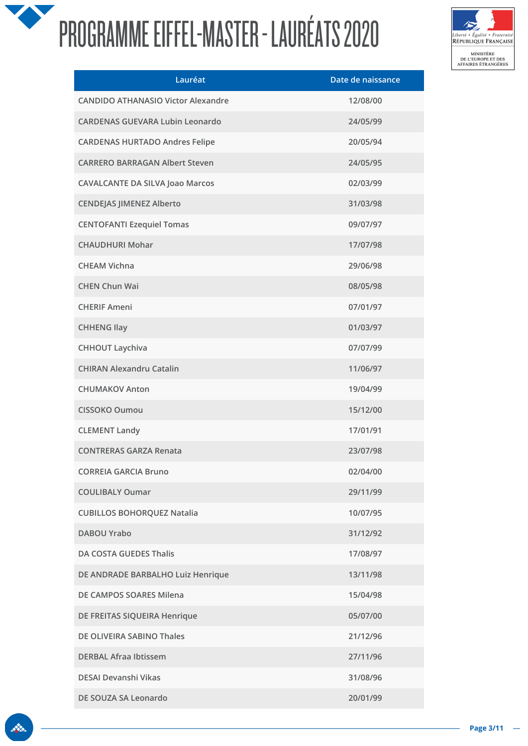

| Lauréat                                   | Date de naissance |
|-------------------------------------------|-------------------|
| <b>CANDIDO ATHANASIO Victor Alexandre</b> | 12/08/00          |
| <b>CARDENAS GUEVARA Lubin Leonardo</b>    | 24/05/99          |
| <b>CARDENAS HURTADO Andres Felipe</b>     | 20/05/94          |
| <b>CARRERO BARRAGAN Albert Steven</b>     | 24/05/95          |
| <b>CAVALCANTE DA SILVA Joao Marcos</b>    | 02/03/99          |
| <b>CENDEJAS JIMENEZ Alberto</b>           | 31/03/98          |
| <b>CENTOFANTI Ezequiel Tomas</b>          | 09/07/97          |
| <b>CHAUDHURI Mohar</b>                    | 17/07/98          |
| <b>CHEAM Vichna</b>                       | 29/06/98          |
| <b>CHEN Chun Wai</b>                      | 08/05/98          |
| <b>CHERIF Ameni</b>                       | 07/01/97          |
| <b>CHHENG Ilay</b>                        | 01/03/97          |
| <b>CHHOUT Laychiva</b>                    | 07/07/99          |
| <b>CHIRAN Alexandru Catalin</b>           | 11/06/97          |
| <b>CHUMAKOV Anton</b>                     | 19/04/99          |
| <b>CISSOKO Oumou</b>                      | 15/12/00          |
| <b>CLEMENT Landy</b>                      | 17/01/91          |
| <b>CONTRERAS GARZA Renata</b>             | 23/07/98          |
| <b>CORREIA GARCIA Bruno</b>               | 02/04/00          |
| <b>COULIBALY Oumar</b>                    | 29/11/99          |
| <b>CUBILLOS BOHORQUEZ Natalia</b>         | 10/07/95          |
| <b>DABOU Yrabo</b>                        | 31/12/92          |
| <b>DA COSTA GUEDES Thalis</b>             | 17/08/97          |
| DE ANDRADE BARBALHO Luiz Henrique         | 13/11/98          |
| DE CAMPOS SOARES Milena                   | 15/04/98          |
| DE FREITAS SIQUEIRA Henrique              | 05/07/00          |
| DE OLIVEIRA SABINO Thales                 | 21/12/96          |
| <b>DERBAL Afraa Ibtissem</b>              | 27/11/96          |
| <b>DESAI Devanshi Vikas</b>               | 31/08/96          |
| DE SOUZA SA Leonardo                      | 20/01/99          |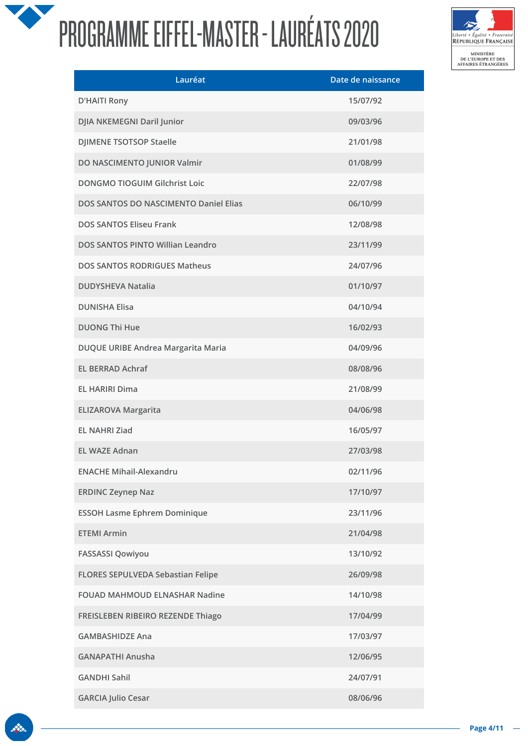

| Lauréat                                  | Date de naissance |
|------------------------------------------|-------------------|
| <b>D'HAITI Rony</b>                      | 15/07/92          |
| DJIA NKEMEGNI Daril Junior               | 09/03/96          |
| <b>DJIMENE TSOTSOP Staelle</b>           | 21/01/98          |
| DO NASCIMENTO JUNIOR Valmir              | 01/08/99          |
| <b>DONGMO TIOGUIM Gilchrist Loic</b>     | 22/07/98          |
| DOS SANTOS DO NASCIMENTO Daniel Elias    | 06/10/99          |
| <b>DOS SANTOS Eliseu Frank</b>           | 12/08/98          |
| DOS SANTOS PINTO Willian Leandro         | 23/11/99          |
| <b>DOS SANTOS RODRIGUES Matheus</b>      | 24/07/96          |
| <b>DUDYSHEVA Natalia</b>                 | 01/10/97          |
| <b>DUNISHA Elisa</b>                     | 04/10/94          |
| <b>DUONG Thi Hue</b>                     | 16/02/93          |
| DUQUE URIBE Andrea Margarita Maria       | 04/09/96          |
| <b>EL BERRAD Achraf</b>                  | 08/08/96          |
| <b>EL HARIRI Dima</b>                    | 21/08/99          |
| <b>ELIZAROVA Margarita</b>               | 04/06/98          |
| <b>EL NAHRI Ziad</b>                     | 16/05/97          |
| <b>EL WAZE Adnan</b>                     | 27/03/98          |
| <b>ENACHE Mihail-Alexandru</b>           | 02/11/96          |
| <b>ERDINC Zeynep Naz</b>                 | 17/10/97          |
| <b>ESSOH Lasme Ephrem Dominique</b>      | 23/11/96          |
| <b>ETEMI Armin</b>                       | 21/04/98          |
| <b>FASSASSI Qowiyou</b>                  | 13/10/92          |
| <b>FLORES SEPULVEDA Sebastian Felipe</b> | 26/09/98          |
| <b>FOUAD MAHMOUD ELNASHAR Nadine</b>     | 14/10/98          |
| FREISLEBEN RIBEIRO REZENDE Thiago        | 17/04/99          |
| <b>GAMBASHIDZE Ana</b>                   | 17/03/97          |
| <b>GANAPATHI Anusha</b>                  | 12/06/95          |
| <b>GANDHI Sahil</b>                      | 24/07/91          |
| <b>GARCIA Julio Cesar</b>                | 08/06/96          |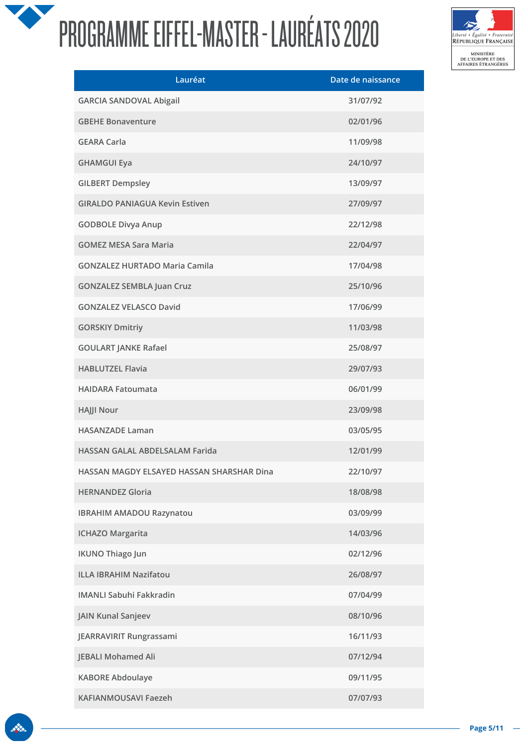

| Lauréat                                   | Date de naissance |
|-------------------------------------------|-------------------|
| <b>GARCIA SANDOVAL Abigail</b>            | 31/07/92          |
| <b>GBEHE Bonaventure</b>                  | 02/01/96          |
| <b>GEARA Carla</b>                        | 11/09/98          |
| <b>GHAMGUI Eya</b>                        | 24/10/97          |
| <b>GILBERT Dempsley</b>                   | 13/09/97          |
| <b>GIRALDO PANIAGUA Kevin Estiven</b>     | 27/09/97          |
| <b>GODBOLE Divya Anup</b>                 | 22/12/98          |
| <b>GOMEZ MESA Sara Maria</b>              | 22/04/97          |
| <b>GONZALEZ HURTADO Maria Camila</b>      | 17/04/98          |
| <b>GONZALEZ SEMBLA Juan Cruz</b>          | 25/10/96          |
| <b>GONZALEZ VELASCO David</b>             | 17/06/99          |
| <b>GORSKIY Dmitriy</b>                    | 11/03/98          |
| <b>GOULART JANKE Rafael</b>               | 25/08/97          |
| <b>HABLUTZEL Flavia</b>                   | 29/07/93          |
| <b>HAIDARA Fatoumata</b>                  | 06/01/99          |
| <b>HAJJI Nour</b>                         | 23/09/98          |
| <b>HASANZADE Laman</b>                    | 03/05/95          |
| HASSAN GALAL ABDELSALAM Farida            | 12/01/99          |
| HASSAN MAGDY ELSAYED HASSAN SHARSHAR Dina | 22/10/97          |
| <b>HERNANDEZ Gloria</b>                   | 18/08/98          |
| <b>IBRAHIM AMADOU Razynatou</b>           | 03/09/99          |
| <b>ICHAZO Margarita</b>                   | 14/03/96          |
| <b>IKUNO Thiago Jun</b>                   | 02/12/96          |
| <b>ILLA IBRAHIM Nazifatou</b>             | 26/08/97          |
| <b>IMANLI Sabuhi Fakkradin</b>            | 07/04/99          |
| <b>JAIN Kunal Sanjeev</b>                 | 08/10/96          |
| JEARRAVIRIT Rungrassami                   | 16/11/93          |
| <b>JEBALI Mohamed Ali</b>                 | 07/12/94          |
| <b>KABORE Abdoulaye</b>                   | 09/11/95          |
| KAFIANMOUSAVI Faezeh                      | 07/07/93          |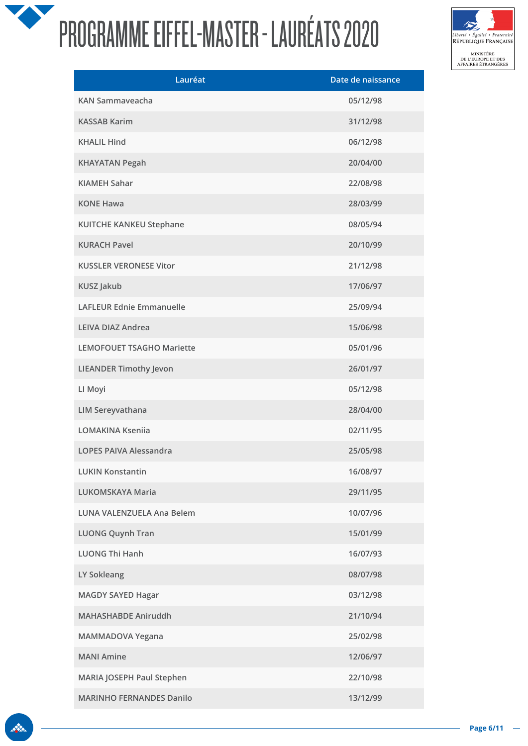

| Lauréat                          | Date de naissance |
|----------------------------------|-------------------|
| KAN Sammayeacha                  | 05/12/98          |
| <b>KASSAB Karim</b>              | 31/12/98          |
| <b>KHALIL Hind</b>               | 06/12/98          |
| <b>KHAYATAN Pegah</b>            | 20/04/00          |
| <b>KIAMEH Sahar</b>              | 22/08/98          |
| <b>KONE Hawa</b>                 | 28/03/99          |
| <b>KUITCHE KANKEU Stephane</b>   | 08/05/94          |
| <b>KURACH Pavel</b>              | 20/10/99          |
| <b>KUSSLER VERONESE Vitor</b>    | 21/12/98          |
| <b>KUSZ Jakub</b>                | 17/06/97          |
| <b>LAFLEUR Ednie Emmanuelle</b>  | 25/09/94          |
| <b>LEIVA DIAZ Andrea</b>         | 15/06/98          |
| <b>LEMOFOUET TSAGHO Mariette</b> | 05/01/96          |
| <b>LIEANDER Timothy Jevon</b>    | 26/01/97          |
| LI Moyi                          | 05/12/98          |
| <b>LIM Sereyvathana</b>          | 28/04/00          |
| <b>LOMAKINA Kseniia</b>          | 02/11/95          |
| <b>LOPES PAIVA Alessandra</b>    | 25/05/98          |
| <b>LUKIN Konstantin</b>          | 16/08/97          |
| <b>LUKOMSKAYA Maria</b>          | 29/11/95          |
| <b>LUNA VALENZUELA Ana Belem</b> | 10/07/96          |
| <b>LUONG Quynh Tran</b>          | 15/01/99          |
| <b>LUONG Thi Hanh</b>            | 16/07/93          |
| LY Sokleang                      | 08/07/98          |
| <b>MAGDY SAYED Hagar</b>         | 03/12/98          |
| <b>MAHASHABDE Aniruddh</b>       | 21/10/94          |
| MAMMADOVA Yegana                 | 25/02/98          |
| <b>MANI Amine</b>                | 12/06/97          |
| MARIA JOSEPH Paul Stephen        | 22/10/98          |
| <b>MARINHO FERNANDES Danilo</b>  | 13/12/99          |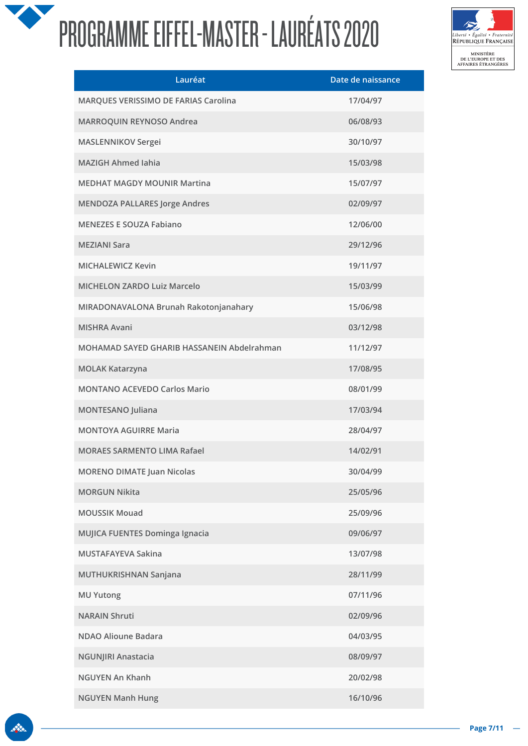

| Lauréat                                    | Date de naissance |
|--------------------------------------------|-------------------|
| MARQUES VERISSIMO DE FARIAS Carolina       | 17/04/97          |
| MARROQUIN REYNOSO Andrea                   | 06/08/93          |
| <b>MASLENNIKOV Sergei</b>                  | 30/10/97          |
| <b>MAZIGH Ahmed Iahia</b>                  | 15/03/98          |
| <b>MEDHAT MAGDY MOUNIR Martina</b>         | 15/07/97          |
| <b>MENDOZA PALLARES Jorge Andres</b>       | 02/09/97          |
| <b>MENEZES E SOUZA Fabiano</b>             | 12/06/00          |
| <b>MEZIANI Sara</b>                        | 29/12/96          |
| <b>MICHALEWICZ Kevin</b>                   | 19/11/97          |
| <b>MICHELON ZARDO Luiz Marcelo</b>         | 15/03/99          |
| MIRADONAVALONA Brunah Rakotonjanahary      | 15/06/98          |
| <b>MISHRA Avani</b>                        | 03/12/98          |
| MOHAMAD SAYED GHARIB HASSANEIN Abdelrahman | 11/12/97          |
| <b>MOLAK Katarzyna</b>                     | 17/08/95          |
| <b>MONTANO ACEVEDO Carlos Mario</b>        | 08/01/99          |
| MONTESANO Juliana                          | 17/03/94          |
| <b>MONTOYA AGUIRRE Maria</b>               | 28/04/97          |
| <b>MORAES SARMENTO LIMA Rafael</b>         | 14/02/91          |
| <b>MORENO DIMATE Juan Nicolas</b>          | 30/04/99          |
| <b>MORGUN Nikita</b>                       | 25/05/96          |
| <b>MOUSSIK Mouad</b>                       | 25/09/96          |
| MUJICA FUENTES Dominga Ignacia             | 09/06/97          |
| MUSTAFAYEVA Sakina                         | 13/07/98          |
| MUTHUKRISHNAN Sanjana                      | 28/11/99          |
| <b>MU Yutong</b>                           | 07/11/96          |
| <b>NARAIN Shruti</b>                       | 02/09/96          |
| NDAO Alioune Badara                        | 04/03/95          |
| <b>NGUNJIRI Anastacia</b>                  | 08/09/97          |
| <b>NGUYEN An Khanh</b>                     | 20/02/98          |
| <b>NGUYEN Manh Hung</b>                    | 16/10/96          |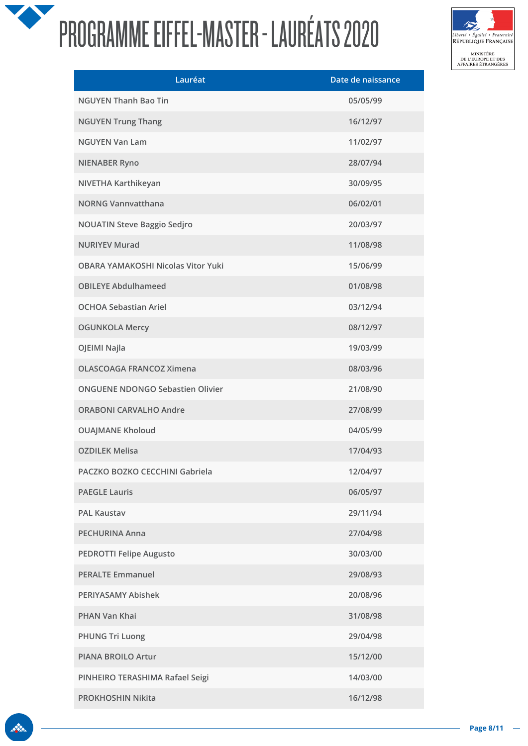

| Lauréat                                   | Date de naissance |
|-------------------------------------------|-------------------|
| <b>NGUYEN Thanh Bao Tin</b>               | 05/05/99          |
| <b>NGUYEN Trung Thang</b>                 | 16/12/97          |
| <b>NGUYEN Van Lam</b>                     | 11/02/97          |
| <b>NIENABER Ryno</b>                      | 28/07/94          |
| NIVETHA Karthikeyan                       | 30/09/95          |
| <b>NORNG Vannvatthana</b>                 | 06/02/01          |
| <b>NOUATIN Steve Baggio Sedjro</b>        | 20/03/97          |
| <b>NURIYEV Murad</b>                      | 11/08/98          |
| <b>OBARA YAMAKOSHI Nicolas Vitor Yuki</b> | 15/06/99          |
| <b>OBILEYE Abdulhameed</b>                | 01/08/98          |
| <b>OCHOA Sebastian Ariel</b>              | 03/12/94          |
| <b>OGUNKOLA Mercy</b>                     | 08/12/97          |
| OJEIMI Najla                              | 19/03/99          |
| <b>OLASCOAGA FRANCOZ Ximena</b>           | 08/03/96          |
| <b>ONGUENE NDONGO Sebastien Olivier</b>   | 21/08/90          |
| <b>ORABONI CARVALHO Andre</b>             | 27/08/99          |
| <b>OUAJMANE Kholoud</b>                   | 04/05/99          |
| <b>OZDILEK Melisa</b>                     | 17/04/93          |
| PACZKO BOZKO CECCHINI Gabriela            | 12/04/97          |
| <b>PAEGLE Lauris</b>                      | 06/05/97          |
| <b>PAL Kaustav</b>                        | 29/11/94          |
| <b>PECHURINA Anna</b>                     | 27/04/98          |
| <b>PEDROTTI Felipe Augusto</b>            | 30/03/00          |
| <b>PERALTE Emmanuel</b>                   | 29/08/93          |
| PERIYASAMY Abishek                        | 20/08/96          |
| PHAN Van Khai                             | 31/08/98          |
| <b>PHUNG Tri Luong</b>                    | 29/04/98          |
| <b>PIANA BROILO Artur</b>                 | 15/12/00          |
| PINHEIRO TERASHIMA Rafael Seigi           | 14/03/00          |
| PROKHOSHIN Nikita                         | 16/12/98          |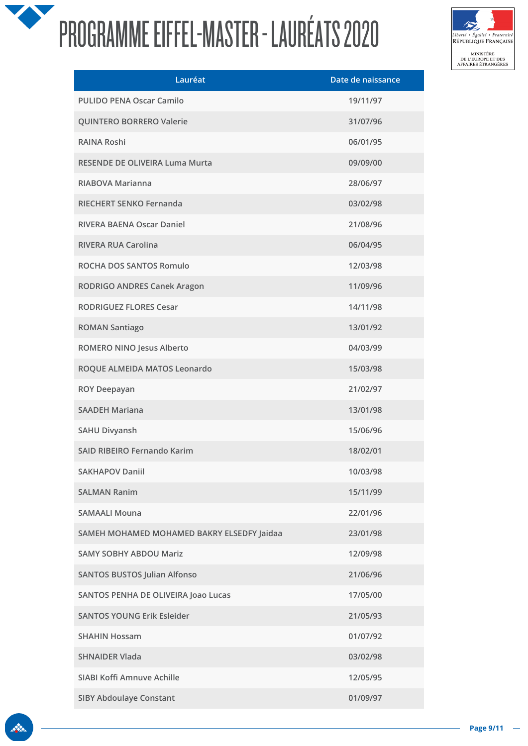

| Lauréat                                    | Date de naissance |
|--------------------------------------------|-------------------|
| PULIDO PENA Oscar Camilo                   | 19/11/97          |
| QUINTERO BORRERO Valerie                   | 31/07/96          |
| <b>RAINA Roshi</b>                         | 06/01/95          |
| RESENDE DE OLIVEIRA Luma Murta             | 09/09/00          |
| RIABOVA Marianna                           | 28/06/97          |
| RIECHERT SENKO Fernanda                    | 03/02/98          |
| RIVERA BAENA Oscar Daniel                  | 21/08/96          |
| <b>RIVERA RUA Carolina</b>                 | 06/04/95          |
| ROCHA DOS SANTOS Romulo                    | 12/03/98          |
| RODRIGO ANDRES Canek Aragon                | 11/09/96          |
| <b>RODRIGUEZ FLORES Cesar</b>              | 14/11/98          |
| <b>ROMAN Santiago</b>                      | 13/01/92          |
| ROMERO NINO Jesus Alberto                  | 04/03/99          |
| ROQUE ALMEIDA MATOS Leonardo               | 15/03/98          |
| <b>ROY Deepayan</b>                        | 21/02/97          |
| <b>SAADEH Mariana</b>                      | 13/01/98          |
| <b>SAHU Divyansh</b>                       | 15/06/96          |
| <b>SAID RIBEIRO Fernando Karim</b>         | 18/02/01          |
| <b>SAKHAPOV Daniil</b>                     | 10/03/98          |
| <b>SALMAN Ranim</b>                        | 15/11/99          |
| <b>SAMAALI Mouna</b>                       | 22/01/96          |
| SAMEH MOHAMED MOHAMED BAKRY ELSEDFY Jaidaa | 23/01/98          |
| <b>SAMY SOBHY ABDOU Mariz</b>              | 12/09/98          |
| <b>SANTOS BUSTOS Julian Alfonso</b>        | 21/06/96          |
| SANTOS PENHA DE OLIVEIRA Joao Lucas        | 17/05/00          |
| <b>SANTOS YOUNG Erik Esleider</b>          | 21/05/93          |
| <b>SHAHIN Hossam</b>                       | 01/07/92          |
| <b>SHNAIDER Vlada</b>                      | 03/02/98          |
| SIABI Koffi Amnuve Achille                 | 12/05/95          |
| <b>SIBY Abdoulaye Constant</b>             | 01/09/97          |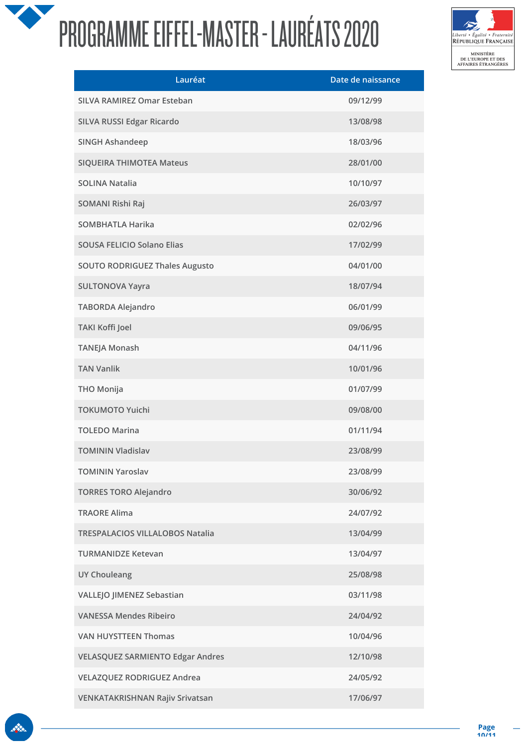

| Lauréat                                 | Date de naissance |
|-----------------------------------------|-------------------|
| SILVA RAMIREZ Omar Esteban              | 09/12/99          |
| SILVA RUSSI Edgar Ricardo               | 13/08/98          |
| <b>SINGH Ashandeep</b>                  | 18/03/96          |
| <b>SIQUEIRA THIMOTEA Mateus</b>         | 28/01/00          |
| <b>SOLINA Natalia</b>                   | 10/10/97          |
| SOMANI Rishi Raj                        | 26/03/97          |
| <b>SOMBHATLA Harika</b>                 | 02/02/96          |
| <b>SOUSA FELICIO Solano Elias</b>       | 17/02/99          |
| <b>SOUTO RODRIGUEZ Thales Augusto</b>   | 04/01/00          |
| <b>SULTONOVA Yayra</b>                  | 18/07/94          |
| <b>TABORDA Alejandro</b>                | 06/01/99          |
| <b>TAKI Koffi Joel</b>                  | 09/06/95          |
| <b>TANEJA Monash</b>                    | 04/11/96          |
| <b>TAN Vanlik</b>                       | 10/01/96          |
| <b>THO Monija</b>                       | 01/07/99          |
| <b>TOKUMOTO Yuichi</b>                  | 09/08/00          |
| <b>TOLEDO Marina</b>                    | 01/11/94          |
| <b>TOMININ Vladislav</b>                | 23/08/99          |
| <b>TOMININ Yaroslav</b>                 | 23/08/99          |
| <b>TORRES TORO Alejandro</b>            | 30/06/92          |
| <b>TRAORE Alima</b>                     | 24/07/92          |
| <b>TRESPALACIOS VILLALOBOS Natalia</b>  | 13/04/99          |
| <b>TURMANIDZE Ketevan</b>               | 13/04/97          |
| <b>UY Chouleang</b>                     | 25/08/98          |
| VALLEJO JIMENEZ Sebastian               | 03/11/98          |
| <b>VANESSA Mendes Ribeiro</b>           | 24/04/92          |
| <b>VAN HUYSTTEEN Thomas</b>             | 10/04/96          |
| <b>VELASQUEZ SARMIENTO Edgar Andres</b> | 12/10/98          |
| <b>VELAZQUEZ RODRIGUEZ Andrea</b>       | 24/05/92          |
| VENKATAKRISHNAN Rajiv Srivatsan         | 17/06/97          |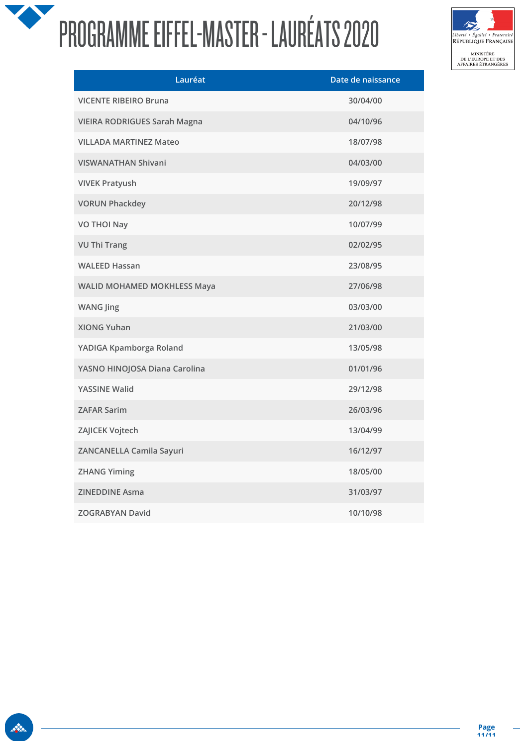

| Lauréat                             | Date de naissance |
|-------------------------------------|-------------------|
| <b>VICENTE RIBEIRO Bruna</b>        | 30/04/00          |
| <b>VIEIRA RODRIGUES Sarah Magna</b> | 04/10/96          |
| <b>VILLADA MARTINEZ Mateo</b>       | 18/07/98          |
| <b>VISWANATHAN Shivani</b>          | 04/03/00          |
| <b>VIVEK Pratyush</b>               | 19/09/97          |
| <b>VORUN Phackdey</b>               | 20/12/98          |
| <b>VO THOI Nay</b>                  | 10/07/99          |
| <b>VU Thi Trang</b>                 | 02/02/95          |
| <b>WALEED Hassan</b>                | 23/08/95          |
| <b>WALID MOHAMED MOKHLESS Maya</b>  | 27/06/98          |
| <b>WANG Jing</b>                    | 03/03/00          |
| <b>XIONG Yuhan</b>                  | 21/03/00          |
| YADIGA Kpamborga Roland             | 13/05/98          |
| YASNO HINOJOSA Diana Carolina       | 01/01/96          |
| YASSINE Walid                       | 29/12/98          |
| <b>ZAFAR Sarim</b>                  | 26/03/96          |
| ZAJICEK Vojtech                     | 13/04/99          |
| ZANCANELLA Camila Sayuri            | 16/12/97          |
| <b>ZHANG Yiming</b>                 | 18/05/00          |
| <b>ZINEDDINE Asma</b>               | 31/03/97          |
| <b>ZOGRABYAN David</b>              | 10/10/98          |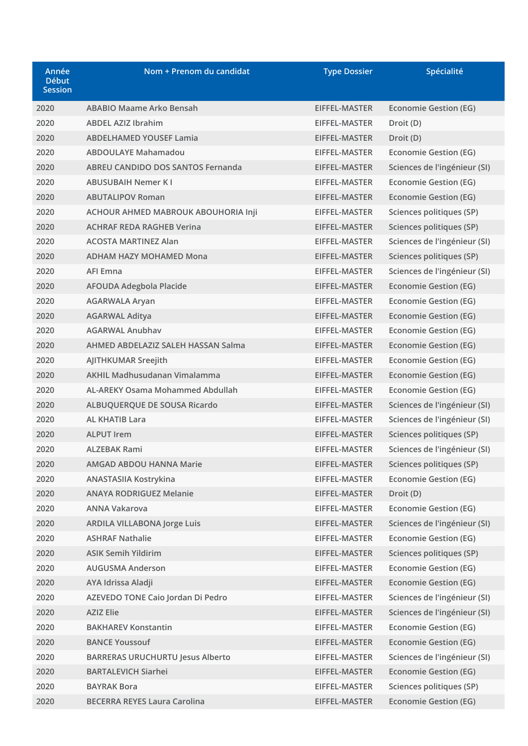| Année<br><b>Début</b><br><b>Session</b> | Nom + Prenom du candidat                | <b>Type Dossier</b> | Spécialité                   |
|-----------------------------------------|-----------------------------------------|---------------------|------------------------------|
| 2020                                    | ABABIO Maame Arko Bensah                | EIFFEL-MASTER       | <b>Economie Gestion (EG)</b> |
| 2020                                    | <b>ABDEL AZIZ Ibrahim</b>               | EIFFEL-MASTER       | Droit (D)                    |
| 2020                                    | <b>ABDELHAMED YOUSEF Lamia</b>          | EIFFEL-MASTER       | Droit (D)                    |
| 2020                                    | <b>ABDOULAYE Mahamadou</b>              | EIFFEL-MASTER       | <b>Economie Gestion (EG)</b> |
| 2020                                    | ABREU CANDIDO DOS SANTOS Fernanda       | EIFFEL-MASTER       | Sciences de l'ingénieur (SI) |
| 2020                                    | <b>ABUSUBAIH Nemer KI</b>               | EIFFEL-MASTER       | Economie Gestion (EG)        |
| 2020                                    | <b>ABUTALIPOV Roman</b>                 | EIFFEL-MASTER       | <b>Economie Gestion (EG)</b> |
| 2020                                    | ACHOUR AHMED MABROUK ABOUHORIA Inji     | EIFFEL-MASTER       | Sciences politiques (SP)     |
| 2020                                    | <b>ACHRAF REDA RAGHEB Verina</b>        | EIFFEL-MASTER       | Sciences politiques (SP)     |
| 2020                                    | <b>ACOSTA MARTINEZ Alan</b>             | EIFFEL-MASTER       | Sciences de l'ingénieur (SI) |
| 2020                                    | <b>ADHAM HAZY MOHAMED Mona</b>          | EIFFEL-MASTER       | Sciences politiques (SP)     |
| 2020                                    | <b>AFI Emna</b>                         | EIFFEL-MASTER       | Sciences de l'ingénieur (SI) |
| 2020                                    | AFOUDA Adegbola Placide                 | EIFFEL-MASTER       | <b>Economie Gestion (EG)</b> |
| 2020                                    | <b>AGARWALA Aryan</b>                   | EIFFEL-MASTER       | Economie Gestion (EG)        |
| 2020                                    | <b>AGARWAL Aditya</b>                   | EIFFEL-MASTER       | <b>Economie Gestion (EG)</b> |
| 2020                                    | <b>AGARWAL Anubhav</b>                  | EIFFEL-MASTER       | <b>Economie Gestion (EG)</b> |
| 2020                                    | AHMED ABDELAZIZ SALEH HASSAN Salma      | EIFFEL-MASTER       | <b>Economie Gestion (EG)</b> |
| 2020                                    | AJITHKUMAR Sreejith                     | EIFFEL-MASTER       | Economie Gestion (EG)        |
| 2020                                    | AKHIL Madhusudanan Vimalamma            | EIFFEL-MASTER       | Economie Gestion (EG)        |
| 2020                                    | AL-AREKY Osama Mohammed Abdullah        | EIFFEL-MASTER       | Economie Gestion (EG)        |
| 2020                                    | ALBUQUERQUE DE SOUSA Ricardo            | EIFFEL-MASTER       | Sciences de l'ingénieur (SI) |
| 2020                                    | <b>AL KHATIB Lara</b>                   | EIFFEL-MASTER       | Sciences de l'ingénieur (SI) |
| 2020                                    | <b>ALPUT Irem</b>                       | EIFFEL-MASTER       | Sciences politiques (SP)     |
| 2020                                    | <b>ALZEBAK Rami</b>                     | EIFFEL-MASTER       | Sciences de l'ingénieur (SI) |
| 2020                                    | <b>AMGAD ABDOU HANNA Marie</b>          | EIFFEL-MASTER       | Sciences politiques (SP)     |
| 2020                                    | <b>ANASTASIIA Kostrykina</b>            | EIFFEL-MASTER       | <b>Economie Gestion (EG)</b> |
| 2020                                    | <b>ANAYA RODRIGUEZ Melanie</b>          | EIFFEL-MASTER       | Droit (D)                    |
| 2020                                    | <b>ANNA Vakarova</b>                    | EIFFEL-MASTER       | <b>Economie Gestion (EG)</b> |
| 2020                                    | <b>ARDILA VILLABONA Jorge Luis</b>      | EIFFEL-MASTER       | Sciences de l'ingénieur (SI) |
| 2020                                    | <b>ASHRAF Nathalie</b>                  | EIFFEL-MASTER       | <b>Economie Gestion (EG)</b> |
| 2020                                    | <b>ASIK Semih Yildirim</b>              | EIFFEL-MASTER       | Sciences politiques (SP)     |
| 2020                                    | <b>AUGUSMA Anderson</b>                 | EIFFEL-MASTER       | <b>Economie Gestion (EG)</b> |
| 2020                                    | AYA Idrissa Aladji                      | EIFFEL-MASTER       | <b>Economie Gestion (EG)</b> |
| 2020                                    | AZEVEDO TONE Caio Jordan Di Pedro       | EIFFEL-MASTER       | Sciences de l'ingénieur (SI) |
| 2020                                    | <b>AZIZ Elie</b>                        | EIFFEL-MASTER       | Sciences de l'ingénieur (SI) |
| 2020                                    | <b>BAKHAREV Konstantin</b>              | EIFFEL-MASTER       | <b>Economie Gestion (EG)</b> |
| 2020                                    | <b>BANCE Youssouf</b>                   | EIFFEL-MASTER       | <b>Economie Gestion (EG)</b> |
| 2020                                    | <b>BARRERAS URUCHURTU Jesus Alberto</b> | EIFFEL-MASTER       | Sciences de l'ingénieur (SI) |
| 2020                                    | <b>BARTALEVICH Siarhei</b>              | EIFFEL-MASTER       | <b>Economie Gestion (EG)</b> |
| 2020                                    | <b>BAYRAK Bora</b>                      | EIFFEL-MASTER       | Sciences politiques (SP)     |
| 2020                                    | <b>BECERRA REYES Laura Carolina</b>     | EIFFEL-MASTER       | <b>Economie Gestion (EG)</b> |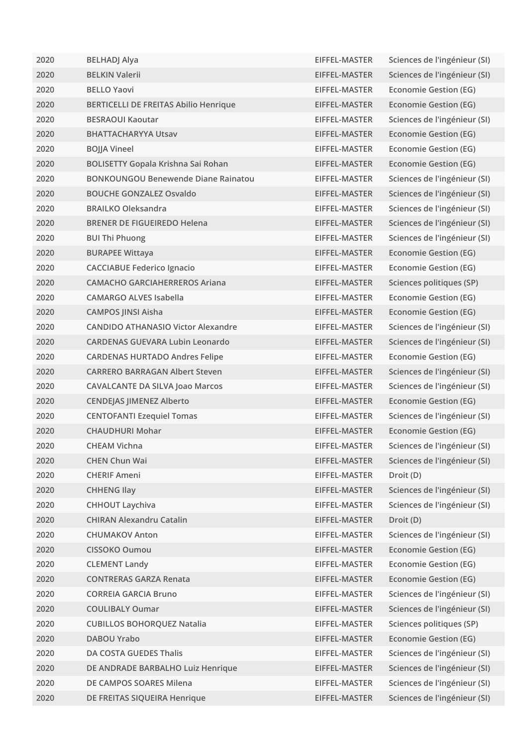| 2020 | <b>BELHADJ Alya</b>                          | EIFFEL-MASTER | Sciences de l'ingénieur (SI) |
|------|----------------------------------------------|---------------|------------------------------|
| 2020 | <b>BELKIN Valerii</b>                        | EIFFEL-MASTER | Sciences de l'ingénieur (SI) |
| 2020 | <b>BELLO Yaovi</b>                           | EIFFEL-MASTER | Economie Gestion (EG)        |
| 2020 | <b>BERTICELLI DE FREITAS Abilio Henrique</b> | EIFFEL-MASTER | <b>Economie Gestion (EG)</b> |
| 2020 | <b>BESRAOUI Kaoutar</b>                      | EIFFEL-MASTER | Sciences de l'ingénieur (SI) |
| 2020 | <b>BHATTACHARYYA Utsav</b>                   | EIFFEL-MASTER | <b>Economie Gestion (EG)</b> |
| 2020 | <b>BOJJA Vineel</b>                          | EIFFEL-MASTER | <b>Economie Gestion (EG)</b> |
| 2020 | BOLISETTY Gopala Krishna Sai Rohan           | EIFFEL-MASTER | <b>Economie Gestion (EG)</b> |
| 2020 | <b>BONKOUNGOU Benewende Diane Rainatou</b>   | EIFFEL-MASTER | Sciences de l'ingénieur (SI) |
| 2020 | <b>BOUCHE GONZALEZ Osvaldo</b>               | EIFFEL-MASTER | Sciences de l'ingénieur (SI) |
| 2020 | <b>BRAILKO Oleksandra</b>                    | EIFFEL-MASTER | Sciences de l'ingénieur (SI) |
| 2020 | <b>BRENER DE FIGUEIREDO Helena</b>           | EIFFEL-MASTER | Sciences de l'ingénieur (SI) |
| 2020 | <b>BUI Thi Phuong</b>                        | EIFFEL-MASTER | Sciences de l'ingénieur (SI) |
| 2020 | <b>BURAPEE Wittaya</b>                       | EIFFEL-MASTER | <b>Economie Gestion (EG)</b> |
| 2020 | <b>CACCIABUE Federico Ignacio</b>            | EIFFEL-MASTER | <b>Economie Gestion (EG)</b> |
| 2020 | <b>CAMACHO GARCIAHERREROS Ariana</b>         | EIFFEL-MASTER | Sciences politiques (SP)     |
| 2020 | <b>CAMARGO ALVES Isabella</b>                | EIFFEL-MASTER | Economie Gestion (EG)        |
| 2020 | <b>CAMPOS JINSI Aisha</b>                    | EIFFEL-MASTER | <b>Economie Gestion (EG)</b> |
| 2020 | <b>CANDIDO ATHANASIO Victor Alexandre</b>    | EIFFEL-MASTER | Sciences de l'ingénieur (SI) |
| 2020 | <b>CARDENAS GUEVARA Lubin Leonardo</b>       | EIFFEL-MASTER | Sciences de l'ingénieur (SI) |
| 2020 | <b>CARDENAS HURTADO Andres Felipe</b>        | EIFFEL-MASTER | <b>Economie Gestion (EG)</b> |
| 2020 | <b>CARRERO BARRAGAN Albert Steven</b>        | EIFFEL-MASTER | Sciences de l'ingénieur (SI) |
| 2020 | <b>CAVALCANTE DA SILVA Joao Marcos</b>       | EIFFEL-MASTER | Sciences de l'ingénieur (SI) |
| 2020 | <b>CENDEJAS JIMENEZ Alberto</b>              | EIFFEL-MASTER | <b>Economie Gestion (EG)</b> |
| 2020 | <b>CENTOFANTI Ezequiel Tomas</b>             | EIFFEL-MASTER | Sciences de l'ingénieur (SI) |
| 2020 | <b>CHAUDHURI Mohar</b>                       | EIFFEL-MASTER | <b>Economie Gestion (EG)</b> |
| 2020 | <b>CHEAM Vichna</b>                          | EIFFEL-MASTER | Sciences de l'ingénieur (SI) |
| 2020 | <b>CHEN Chun Wai</b>                         | EIFFEL-MASTER | Sciences de l'ingénieur (SI) |
| 2020 | <b>CHERIF Ameni</b>                          | EIFFEL-MASTER | Droit (D)                    |
| 2020 | <b>CHHENG Ilay</b>                           | EIFFEL-MASTER | Sciences de l'ingénieur (SI) |
| 2020 | <b>CHHOUT Laychiva</b>                       | EIFFEL-MASTER | Sciences de l'ingénieur (SI) |
| 2020 | <b>CHIRAN Alexandru Catalin</b>              | EIFFEL-MASTER | Droit (D)                    |
| 2020 | <b>CHUMAKOV Anton</b>                        | EIFFEL-MASTER | Sciences de l'ingénieur (SI) |
| 2020 | <b>CISSOKO Oumou</b>                         | EIFFEL-MASTER | <b>Economie Gestion (EG)</b> |
| 2020 | <b>CLEMENT Landy</b>                         | EIFFEL-MASTER | <b>Economie Gestion (EG)</b> |
| 2020 | <b>CONTRERAS GARZA Renata</b>                | EIFFEL-MASTER | <b>Economie Gestion (EG)</b> |
| 2020 | <b>CORREIA GARCIA Bruno</b>                  | EIFFEL-MASTER | Sciences de l'ingénieur (SI) |
| 2020 | <b>COULIBALY Oumar</b>                       | EIFFEL-MASTER | Sciences de l'ingénieur (SI) |
| 2020 | <b>CUBILLOS BOHORQUEZ Natalia</b>            | EIFFEL-MASTER | Sciences politiques (SP)     |
| 2020 | <b>DABOU Yrabo</b>                           | EIFFEL-MASTER | <b>Economie Gestion (EG)</b> |
| 2020 | DA COSTA GUEDES Thalis                       | EIFFEL-MASTER | Sciences de l'ingénieur (SI) |
| 2020 | DE ANDRADE BARBALHO Luiz Henrique            | EIFFEL-MASTER | Sciences de l'ingénieur (SI) |
| 2020 | DE CAMPOS SOARES Milena                      | EIFFEL-MASTER | Sciences de l'ingénieur (SI) |
| 2020 | DE FREITAS SIQUEIRA Henrique                 | EIFFEL-MASTER | Sciences de l'ingénieur (SI) |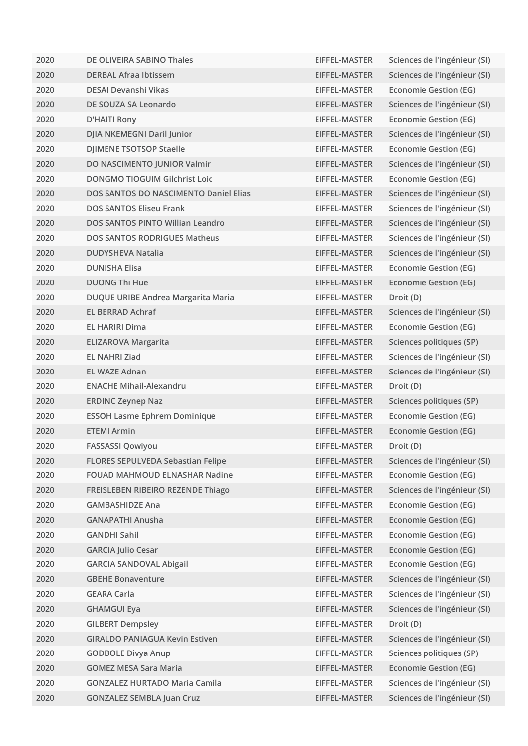| 2020 | DE OLIVEIRA SABINO Thales                    | EIFFEL-MASTER | Sciences de l'ingénieur (SI) |
|------|----------------------------------------------|---------------|------------------------------|
| 2020 | <b>DERBAL Afraa Ibtissem</b>                 | EIFFEL-MASTER | Sciences de l'ingénieur (SI) |
| 2020 | DESAI Devanshi Vikas                         | EIFFEL-MASTER | Economie Gestion (EG)        |
| 2020 | DE SOUZA SA Leonardo                         | EIFFEL-MASTER | Sciences de l'ingénieur (SI) |
| 2020 | D'HAITI Rony                                 | EIFFEL-MASTER | <b>Economie Gestion (EG)</b> |
| 2020 | DJIA NKEMEGNI Daril Junior                   | EIFFEL-MASTER | Sciences de l'ingénieur (SI) |
| 2020 | <b>DJIMENE TSOTSOP Staelle</b>               | EIFFEL-MASTER | <b>Economie Gestion (EG)</b> |
| 2020 | DO NASCIMENTO JUNIOR Valmir                  | EIFFEL-MASTER | Sciences de l'ingénieur (SI) |
| 2020 | <b>DONGMO TIOGUIM Gilchrist Loic</b>         | EIFFEL-MASTER | <b>Economie Gestion (EG)</b> |
| 2020 | <b>DOS SANTOS DO NASCIMENTO Daniel Elias</b> | EIFFEL-MASTER | Sciences de l'ingénieur (SI) |
| 2020 | <b>DOS SANTOS Eliseu Frank</b>               | EIFFEL-MASTER | Sciences de l'ingénieur (SI) |
| 2020 | DOS SANTOS PINTO Willian Leandro             | EIFFEL-MASTER | Sciences de l'ingénieur (SI) |
| 2020 | <b>DOS SANTOS RODRIGUES Matheus</b>          | EIFFEL-MASTER | Sciences de l'ingénieur (SI) |
| 2020 | <b>DUDYSHEVA Natalia</b>                     | EIFFEL-MASTER | Sciences de l'ingénieur (SI) |
| 2020 | <b>DUNISHA Elisa</b>                         | EIFFEL-MASTER | <b>Economie Gestion (EG)</b> |
| 2020 | <b>DUONG Thi Hue</b>                         | EIFFEL-MASTER | <b>Economie Gestion (EG)</b> |
| 2020 | DUQUE URIBE Andrea Margarita Maria           | EIFFEL-MASTER | Droit (D)                    |
| 2020 | <b>EL BERRAD Achraf</b>                      | EIFFEL-MASTER | Sciences de l'ingénieur (SI) |
| 2020 | <b>EL HARIRI Dima</b>                        | EIFFEL-MASTER | <b>Economie Gestion (EG)</b> |
| 2020 | <b>ELIZAROVA Margarita</b>                   | EIFFEL-MASTER | Sciences politiques (SP)     |
| 2020 | <b>EL NAHRI Ziad</b>                         | EIFFEL-MASTER | Sciences de l'ingénieur (SI) |
| 2020 | <b>EL WAZE Adnan</b>                         | EIFFEL-MASTER | Sciences de l'ingénieur (SI) |
| 2020 | <b>ENACHE Mihail-Alexandru</b>               | EIFFEL-MASTER | Droit (D)                    |
| 2020 | <b>ERDINC Zeynep Naz</b>                     | EIFFEL-MASTER | Sciences politiques (SP)     |
| 2020 | <b>ESSOH Lasme Ephrem Dominique</b>          | EIFFEL-MASTER | <b>Economie Gestion (EG)</b> |
| 2020 | <b>ETEMI Armin</b>                           | EIFFEL-MASTER | Economie Gestion (EG)        |
| 2020 | <b>FASSASSI Qowiyou</b>                      | EIFFEL-MASTER | Droit (D)                    |
| 2020 | <b>FLORES SEPULVEDA Sebastian Felipe</b>     | EIFFEL-MASTER | Sciences de l'ingénieur (SI) |
| 2020 | <b>FOUAD MAHMOUD ELNASHAR Nadine</b>         | EIFFEL-MASTER | <b>Economie Gestion (EG)</b> |
| 2020 | FREISLEBEN RIBEIRO REZENDE Thiago            | EIFFEL-MASTER | Sciences de l'ingénieur (SI) |
| 2020 | <b>GAMBASHIDZE Ana</b>                       | EIFFEL-MASTER | <b>Economie Gestion (EG)</b> |
| 2020 | <b>GANAPATHI Anusha</b>                      | EIFFEL-MASTER | <b>Economie Gestion (EG)</b> |
| 2020 | <b>GANDHI Sahil</b>                          | EIFFEL-MASTER | <b>Economie Gestion (EG)</b> |
| 2020 | <b>GARCIA Julio Cesar</b>                    | EIFFEL-MASTER | <b>Economie Gestion (EG)</b> |
| 2020 | <b>GARCIA SANDOVAL Abigail</b>               | EIFFEL-MASTER | <b>Economie Gestion (EG)</b> |
| 2020 | <b>GBEHE Bonaventure</b>                     | EIFFEL-MASTER | Sciences de l'ingénieur (SI) |
| 2020 | <b>GEARA Carla</b>                           | EIFFEL-MASTER | Sciences de l'ingénieur (SI) |
| 2020 | <b>GHAMGUI Eya</b>                           | EIFFEL-MASTER | Sciences de l'ingénieur (SI) |
| 2020 | <b>GILBERT Dempsley</b>                      | EIFFEL-MASTER | Droit (D)                    |
| 2020 | <b>GIRALDO PANIAGUA Kevin Estiven</b>        | EIFFEL-MASTER | Sciences de l'ingénieur (SI) |
| 2020 | <b>GODBOLE Divya Anup</b>                    | EIFFEL-MASTER | Sciences politiques (SP)     |
| 2020 | <b>GOMEZ MESA Sara Maria</b>                 | EIFFEL-MASTER | <b>Economie Gestion (EG)</b> |
| 2020 | <b>GONZALEZ HURTADO Maria Camila</b>         | EIFFEL-MASTER | Sciences de l'ingénieur (SI) |
| 2020 | <b>GONZALEZ SEMBLA Juan Cruz</b>             | EIFFEL-MASTER | Sciences de l'ingénieur (SI) |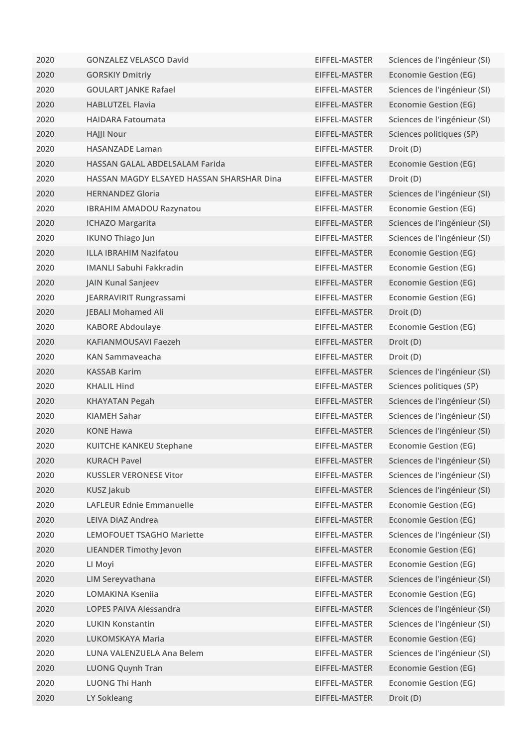| 2020 | <b>GONZALEZ VELASCO David</b>             | EIFFEL-MASTER | Sciences de l'ingénieur (SI) |
|------|-------------------------------------------|---------------|------------------------------|
| 2020 | <b>GORSKIY Dmitriy</b>                    | EIFFEL-MASTER | <b>Economie Gestion (EG)</b> |
| 2020 | <b>GOULART JANKE Rafael</b>               | EIFFEL-MASTER | Sciences de l'ingénieur (SI) |
| 2020 | <b>HABLUTZEL Flavia</b>                   | EIFFEL-MASTER | <b>Economie Gestion (EG)</b> |
| 2020 | <b>HAIDARA Fatoumata</b>                  | EIFFEL-MASTER | Sciences de l'ingénieur (SI) |
| 2020 | <b>HAJJI Nour</b>                         | EIFFEL-MASTER | Sciences politiques (SP)     |
| 2020 | <b>HASANZADE Laman</b>                    | EIFFEL-MASTER | Droit (D)                    |
| 2020 | HASSAN GALAL ABDELSALAM Farida            | EIFFEL-MASTER | <b>Economie Gestion (EG)</b> |
| 2020 | HASSAN MAGDY ELSAYED HASSAN SHARSHAR Dina | EIFFEL-MASTER | Droit (D)                    |
| 2020 | <b>HERNANDEZ Gloria</b>                   | EIFFEL-MASTER | Sciences de l'ingénieur (SI) |
| 2020 | <b>IBRAHIM AMADOU Razynatou</b>           | EIFFEL-MASTER | <b>Economie Gestion (EG)</b> |
| 2020 | <b>ICHAZO Margarita</b>                   | EIFFEL-MASTER | Sciences de l'ingénieur (SI) |
| 2020 | <b>IKUNO Thiago Jun</b>                   | EIFFEL-MASTER | Sciences de l'ingénieur (SI) |
| 2020 | <b>ILLA IBRAHIM Nazifatou</b>             | EIFFEL-MASTER | <b>Economie Gestion (EG)</b> |
| 2020 | <b>IMANLI Sabuhi Fakkradin</b>            | EIFFEL-MASTER | <b>Economie Gestion (EG)</b> |
| 2020 | <b>JAIN Kunal Sanjeev</b>                 | EIFFEL-MASTER | <b>Economie Gestion (EG)</b> |
| 2020 | JEARRAVIRIT Rungrassami                   | EIFFEL-MASTER | <b>Economie Gestion (EG)</b> |
| 2020 | <b>JEBALI Mohamed Ali</b>                 | EIFFEL-MASTER | Droit (D)                    |
| 2020 | <b>KABORE Abdoulaye</b>                   | EIFFEL-MASTER | <b>Economie Gestion (EG)</b> |
| 2020 | KAFIANMOUSAVI Faezeh                      | EIFFEL-MASTER | Droit (D)                    |
| 2020 | <b>KAN Sammayeacha</b>                    | EIFFEL-MASTER | Droit (D)                    |
| 2020 | <b>KASSAB Karim</b>                       | EIFFEL-MASTER | Sciences de l'ingénieur (SI) |
| 2020 | <b>KHALIL Hind</b>                        | EIFFEL-MASTER | Sciences politiques (SP)     |
| 2020 | <b>KHAYATAN Pegah</b>                     | EIFFEL-MASTER | Sciences de l'ingénieur (SI) |
| 2020 | <b>KIAMEH Sahar</b>                       | EIFFEL-MASTER | Sciences de l'ingénieur (SI) |
| 2020 | <b>KONE Hawa</b>                          | EIFFEL-MASTER | Sciences de l'ingénieur (SI) |
| 2020 | <b>KUITCHE KANKEU Stephane</b>            | EIFFEL-MASTER | <b>Economie Gestion (EG)</b> |
| 2020 | <b>KURACH Pavel</b>                       | EIFFEL-MASTER | Sciences de l'ingénieur (SI) |
| 2020 | <b>KUSSLER VERONESE Vitor</b>             | EIFFEL-MASTER | Sciences de l'ingénieur (SI) |
| 2020 | KUSZ Jakub                                | EIFFEL-MASTER | Sciences de l'ingénieur (SI) |
| 2020 | <b>LAFLEUR Ednie Emmanuelle</b>           | EIFFEL-MASTER | <b>Economie Gestion (EG)</b> |
| 2020 | <b>LEIVA DIAZ Andrea</b>                  | EIFFEL-MASTER | <b>Economie Gestion (EG)</b> |
| 2020 | <b>LEMOFOUET TSAGHO Mariette</b>          | EIFFEL-MASTER | Sciences de l'ingénieur (SI) |
| 2020 | <b>LIEANDER Timothy Jevon</b>             | EIFFEL-MASTER | <b>Economie Gestion (EG)</b> |
| 2020 | LI Moyi                                   | EIFFEL-MASTER | <b>Economie Gestion (EG)</b> |
| 2020 | LIM Sereyvathana                          | EIFFEL-MASTER | Sciences de l'ingénieur (SI) |
| 2020 | <b>LOMAKINA Kseniia</b>                   | EIFFEL-MASTER | <b>Economie Gestion (EG)</b> |
| 2020 | <b>LOPES PAIVA Alessandra</b>             | EIFFEL-MASTER | Sciences de l'ingénieur (SI) |
| 2020 | <b>LUKIN Konstantin</b>                   | EIFFEL-MASTER | Sciences de l'ingénieur (SI) |
| 2020 | LUKOMSKAYA Maria                          | EIFFEL-MASTER | <b>Economie Gestion (EG)</b> |
| 2020 | LUNA VALENZUELA Ana Belem                 | EIFFEL-MASTER | Sciences de l'ingénieur (SI) |
| 2020 | <b>LUONG Quynh Tran</b>                   | EIFFEL-MASTER | <b>Economie Gestion (EG)</b> |
| 2020 | <b>LUONG Thi Hanh</b>                     | EIFFEL-MASTER | <b>Economie Gestion (EG)</b> |
| 2020 | LY Sokleang                               | EIFFEL-MASTER | Droit (D)                    |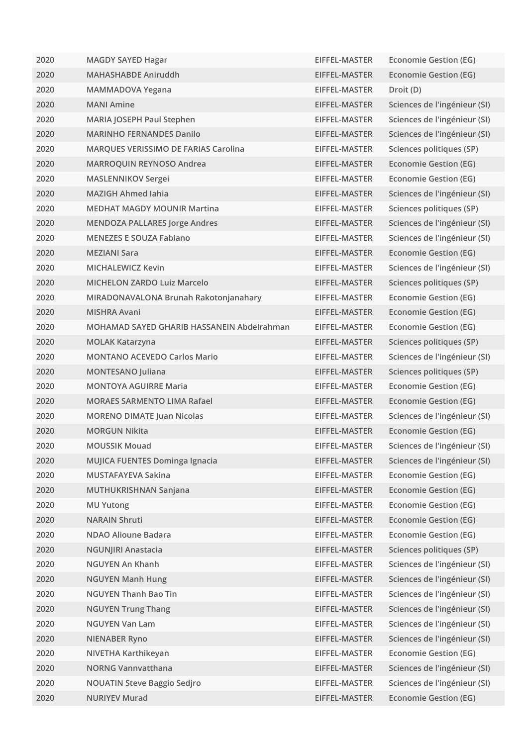| 2020 | <b>MAGDY SAYED Hagar</b>                   | EIFFEL-MASTER | Economie Gestion (EG)        |
|------|--------------------------------------------|---------------|------------------------------|
| 2020 | <b>MAHASHABDE Aniruddh</b>                 | EIFFEL-MASTER | <b>Economie Gestion (EG)</b> |
| 2020 | <b>MAMMADOVA Yegana</b>                    | EIFFEL-MASTER | Droit (D)                    |
| 2020 | <b>MANI Amine</b>                          | EIFFEL-MASTER | Sciences de l'ingénieur (SI) |
| 2020 | MARIA JOSEPH Paul Stephen                  | EIFFEL-MASTER | Sciences de l'ingénieur (SI) |
| 2020 | <b>MARINHO FERNANDES Danilo</b>            | EIFFEL-MASTER | Sciences de l'ingénieur (SI) |
| 2020 | MARQUES VERISSIMO DE FARIAS Carolina       | EIFFEL-MASTER | Sciences politiques (SP)     |
| 2020 | MARROQUIN REYNOSO Andrea                   | EIFFEL-MASTER | <b>Economie Gestion (EG)</b> |
| 2020 | <b>MASLENNIKOV Sergei</b>                  | EIFFEL-MASTER | <b>Economie Gestion (EG)</b> |
| 2020 | <b>MAZIGH Ahmed Iahia</b>                  | EIFFEL-MASTER | Sciences de l'ingénieur (SI) |
| 2020 | <b>MEDHAT MAGDY MOUNIR Martina</b>         | EIFFEL-MASTER | Sciences politiques (SP)     |
| 2020 | <b>MENDOZA PALLARES Jorge Andres</b>       | EIFFEL-MASTER | Sciences de l'ingénieur (SI) |
| 2020 | <b>MENEZES E SOUZA Fabiano</b>             | EIFFEL-MASTER | Sciences de l'ingénieur (SI) |
| 2020 | <b>MEZIANI Sara</b>                        | EIFFEL-MASTER | <b>Economie Gestion (EG)</b> |
| 2020 | <b>MICHALEWICZ Kevin</b>                   | EIFFEL-MASTER | Sciences de l'ingénieur (SI) |
| 2020 | <b>MICHELON ZARDO Luiz Marcelo</b>         | EIFFEL-MASTER | Sciences politiques (SP)     |
| 2020 | MIRADONAVALONA Brunah Rakotonjanahary      | EIFFEL-MASTER | <b>Economie Gestion (EG)</b> |
| 2020 | <b>MISHRA Avani</b>                        | EIFFEL-MASTER | <b>Economie Gestion (EG)</b> |
| 2020 | MOHAMAD SAYED GHARIB HASSANEIN Abdelrahman | EIFFEL-MASTER | <b>Economie Gestion (EG)</b> |
| 2020 | <b>MOLAK Katarzyna</b>                     | EIFFEL-MASTER | Sciences politiques (SP)     |
| 2020 | <b>MONTANO ACEVEDO Carlos Mario</b>        | EIFFEL-MASTER | Sciences de l'ingénieur (SI) |
| 2020 | <b>MONTESANO Juliana</b>                   | EIFFEL-MASTER | Sciences politiques (SP)     |
| 2020 | <b>MONTOYA AGUIRRE Maria</b>               | EIFFEL-MASTER | <b>Economie Gestion (EG)</b> |
| 2020 | <b>MORAES SARMENTO LIMA Rafael</b>         | EIFFEL-MASTER | <b>Economie Gestion (EG)</b> |
| 2020 | <b>MORENO DIMATE Juan Nicolas</b>          | EIFFEL-MASTER | Sciences de l'ingénieur (SI) |
| 2020 | <b>MORGUN Nikita</b>                       | EIFFEL-MASTER | <b>Economie Gestion (EG)</b> |
| 2020 | <b>MOUSSIK Mouad</b>                       | EIFFEL-MASTER | Sciences de l'ingénieur (SI) |
| 2020 | MUJICA FUENTES Dominga Ignacia             | EIFFEL-MASTER | Sciences de l'ingénieur (SI) |
| 2020 | <b>MUSTAFAYEVA Sakina</b>                  | EIFFEL-MASTER | <b>Economie Gestion (EG)</b> |
| 2020 | MUTHUKRISHNAN Sanjana                      | EIFFEL-MASTER | <b>Economie Gestion (EG)</b> |
| 2020 | <b>MU Yutong</b>                           | EIFFEL-MASTER | <b>Economie Gestion (EG)</b> |
| 2020 | <b>NARAIN Shruti</b>                       | EIFFEL-MASTER | <b>Economie Gestion (EG)</b> |
| 2020 | <b>NDAO Alioune Badara</b>                 | EIFFEL-MASTER | <b>Economie Gestion (EG)</b> |
| 2020 | <b>NGUNJIRI Anastacia</b>                  | EIFFEL-MASTER | Sciences politiques (SP)     |
| 2020 | <b>NGUYEN An Khanh</b>                     | EIFFEL-MASTER | Sciences de l'ingénieur (SI) |
| 2020 | <b>NGUYEN Manh Hung</b>                    | EIFFEL-MASTER | Sciences de l'ingénieur (SI) |
| 2020 | <b>NGUYEN Thanh Bao Tin</b>                | EIFFEL-MASTER | Sciences de l'ingénieur (SI) |
| 2020 | <b>NGUYEN Trung Thang</b>                  | EIFFEL-MASTER | Sciences de l'ingénieur (SI) |
| 2020 | <b>NGUYEN Van Lam</b>                      | EIFFEL-MASTER | Sciences de l'ingénieur (SI) |
| 2020 | <b>NIENABER Ryno</b>                       | EIFFEL-MASTER | Sciences de l'ingénieur (SI) |
| 2020 | NIVETHA Karthikeyan                        | EIFFEL-MASTER | <b>Economie Gestion (EG)</b> |
| 2020 | <b>NORNG Vannvatthana</b>                  | EIFFEL-MASTER | Sciences de l'ingénieur (SI) |
| 2020 | <b>NOUATIN Steve Baggio Sedjro</b>         | EIFFEL-MASTER | Sciences de l'ingénieur (SI) |
| 2020 | <b>NURIYEV Murad</b>                       | EIFFEL-MASTER | <b>Economie Gestion (EG)</b> |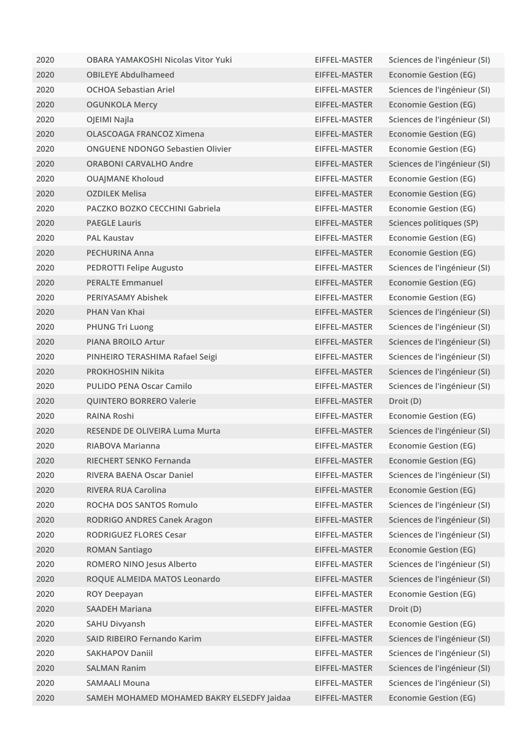| 2020 | <b>OBARA YAMAKOSHI Nicolas Vitor Yuki</b>  | EIFFEL-MASTER | Sciences de l'ingénieur (SI) |
|------|--------------------------------------------|---------------|------------------------------|
| 2020 | <b>OBILEYE Abdulhameed</b>                 | EIFFEL-MASTER | <b>Economie Gestion (EG)</b> |
| 2020 | <b>OCHOA Sebastian Ariel</b>               | EIFFEL-MASTER | Sciences de l'ingénieur (SI) |
| 2020 | <b>OGUNKOLA Mercy</b>                      | EIFFEL-MASTER | <b>Economie Gestion (EG)</b> |
| 2020 | OJEIMI Najla                               | EIFFEL-MASTER | Sciences de l'ingénieur (SI) |
| 2020 | <b>OLASCOAGA FRANCOZ Ximena</b>            | EIFFEL-MASTER | <b>Economie Gestion (EG)</b> |
| 2020 | <b>ONGUENE NDONGO Sebastien Olivier</b>    | EIFFEL-MASTER | <b>Economie Gestion (EG)</b> |
| 2020 | <b>ORABONI CARVALHO Andre</b>              | EIFFEL-MASTER | Sciences de l'ingénieur (SI) |
| 2020 | <b>OUAJMANE Kholoud</b>                    | EIFFEL-MASTER | <b>Economie Gestion (EG)</b> |
| 2020 | <b>OZDILEK Melisa</b>                      | EIFFEL-MASTER | <b>Economie Gestion (EG)</b> |
| 2020 | PACZKO BOZKO CECCHINI Gabriela             | EIFFEL-MASTER | Economie Gestion (EG)        |
| 2020 | <b>PAEGLE Lauris</b>                       | EIFFEL-MASTER | Sciences politiques (SP)     |
| 2020 | <b>PAL Kaustav</b>                         | EIFFEL-MASTER | <b>Economie Gestion (EG)</b> |
| 2020 | <b>PECHURINA Anna</b>                      | EIFFEL-MASTER | <b>Economie Gestion (EG)</b> |
| 2020 | <b>PEDROTTI Felipe Augusto</b>             | EIFFEL-MASTER | Sciences de l'ingénieur (SI) |
| 2020 | <b>PERALTE Emmanuel</b>                    | EIFFEL-MASTER | <b>Economie Gestion (EG)</b> |
| 2020 | <b>PERIYASAMY Abishek</b>                  | EIFFEL-MASTER | <b>Economie Gestion (EG)</b> |
| 2020 | <b>PHAN Van Khai</b>                       | EIFFEL-MASTER | Sciences de l'ingénieur (SI) |
| 2020 | <b>PHUNG Tri Luong</b>                     | EIFFEL-MASTER | Sciences de l'ingénieur (SI) |
| 2020 | <b>PIANA BROILO Artur</b>                  | EIFFEL-MASTER | Sciences de l'ingénieur (SI) |
| 2020 | PINHEIRO TERASHIMA Rafael Seigi            | EIFFEL-MASTER | Sciences de l'ingénieur (SI) |
| 2020 | <b>PROKHOSHIN Nikita</b>                   | EIFFEL-MASTER | Sciences de l'ingénieur (SI) |
| 2020 | <b>PULIDO PENA Oscar Camilo</b>            | EIFFEL-MASTER | Sciences de l'ingénieur (SI) |
| 2020 | <b>QUINTERO BORRERO Valerie</b>            | EIFFEL-MASTER | Droit (D)                    |
| 2020 | <b>RAINA Roshi</b>                         | EIFFEL-MASTER | <b>Economie Gestion (EG)</b> |
| 2020 | <b>RESENDE DE OLIVEIRA Luma Murta</b>      | EIFFEL-MASTER | Sciences de l'ingénieur (SI) |
| 2020 | RIABOVA Marianna                           | EIFFEL-MASTER | <b>Economie Gestion (EG)</b> |
| 2020 | RIECHERT SENKO Fernanda                    | EIFFEL-MASTER | <b>Economie Gestion (EG)</b> |
| 2020 | RIVERA BAENA Oscar Daniel                  | EIFFEL-MASTER | Sciences de l'ingénieur (SI) |
| 2020 | <b>RIVERA RUA Carolina</b>                 | EIFFEL-MASTER | <b>Economie Gestion (EG)</b> |
| 2020 | ROCHA DOS SANTOS Romulo                    | EIFFEL-MASTER | Sciences de l'ingénieur (SI) |
| 2020 | <b>RODRIGO ANDRES Canek Aragon</b>         | EIFFEL-MASTER | Sciences de l'ingénieur (SI) |
| 2020 | <b>RODRIGUEZ FLORES Cesar</b>              | EIFFEL-MASTER | Sciences de l'ingénieur (SI) |
| 2020 | <b>ROMAN Santiago</b>                      | EIFFEL-MASTER | <b>Economie Gestion (EG)</b> |
| 2020 | ROMERO NINO Jesus Alberto                  | EIFFEL-MASTER | Sciences de l'ingénieur (SI) |
| 2020 | ROQUE ALMEIDA MATOS Leonardo               | EIFFEL-MASTER | Sciences de l'ingénieur (SI) |
| 2020 | <b>ROY Deepayan</b>                        | EIFFEL-MASTER | <b>Economie Gestion (EG)</b> |
| 2020 | <b>SAADEH Mariana</b>                      | EIFFEL-MASTER | Droit (D)                    |
| 2020 | <b>SAHU Divyansh</b>                       | EIFFEL-MASTER | <b>Economie Gestion (EG)</b> |
| 2020 | SAID RIBEIRO Fernando Karim                | EIFFEL-MASTER | Sciences de l'ingénieur (SI) |
| 2020 | <b>SAKHAPOV Daniil</b>                     | EIFFEL-MASTER | Sciences de l'ingénieur (SI) |
| 2020 | <b>SALMAN Ranim</b>                        | EIFFEL-MASTER | Sciences de l'ingénieur (SI) |
| 2020 | <b>SAMAALI Mouna</b>                       | EIFFEL-MASTER | Sciences de l'ingénieur (SI) |
| 2020 | SAMEH MOHAMED MOHAMED BAKRY ELSEDFY Jaidaa | EIFFEL-MASTER | <b>Economie Gestion (EG)</b> |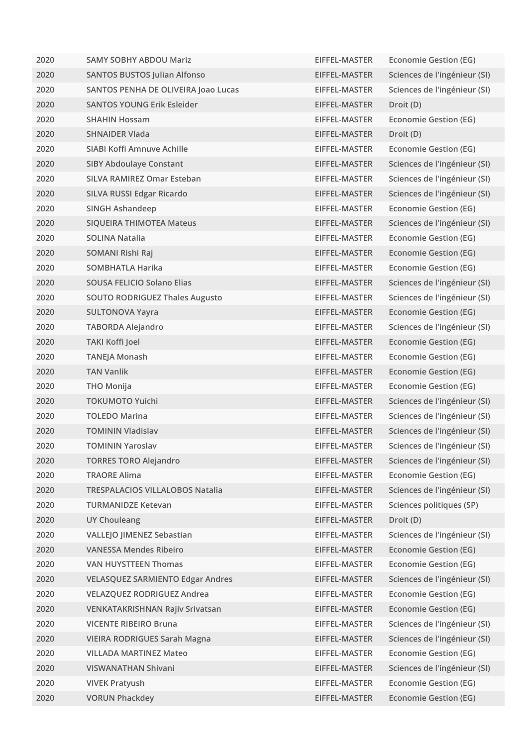| 2020 | <b>SAMY SOBHY ABDOU Mariz</b>           | EIFFEL-MASTER | <b>Economie Gestion (EG)</b> |
|------|-----------------------------------------|---------------|------------------------------|
| 2020 | <b>SANTOS BUSTOS Julian Alfonso</b>     | EIFFEL-MASTER | Sciences de l'ingénieur (SI) |
| 2020 | SANTOS PENHA DE OLIVEIRA Joao Lucas     | EIFFEL-MASTER | Sciences de l'ingénieur (SI) |
| 2020 | <b>SANTOS YOUNG Erik Esleider</b>       | EIFFEL-MASTER | Droit (D)                    |
| 2020 | <b>SHAHIN Hossam</b>                    | EIFFEL-MASTER | <b>Economie Gestion (EG)</b> |
| 2020 | <b>SHNAIDER Vlada</b>                   | EIFFEL-MASTER | Droit (D)                    |
| 2020 | SIABI Koffi Amnuve Achille              | EIFFEL-MASTER | <b>Economie Gestion (EG)</b> |
| 2020 | <b>SIBY Abdoulaye Constant</b>          | EIFFEL-MASTER | Sciences de l'ingénieur (SI) |
| 2020 | <b>SILVA RAMIREZ Omar Esteban</b>       | EIFFEL-MASTER | Sciences de l'ingénieur (SI) |
| 2020 | SILVA RUSSI Edgar Ricardo               | EIFFEL-MASTER | Sciences de l'ingénieur (SI) |
| 2020 | SINGH Ashandeep                         | EIFFEL-MASTER | <b>Economie Gestion (EG)</b> |
| 2020 | <b>SIQUEIRA THIMOTEA Mateus</b>         | EIFFEL-MASTER | Sciences de l'ingénieur (SI) |
| 2020 | <b>SOLINA Natalia</b>                   | EIFFEL-MASTER | <b>Economie Gestion (EG)</b> |
| 2020 | SOMANI Rishi Raj                        | EIFFEL-MASTER | <b>Economie Gestion (EG)</b> |
| 2020 | SOMBHATLA Harika                        | EIFFEL-MASTER | <b>Economie Gestion (EG)</b> |
| 2020 | <b>SOUSA FELICIO Solano Elias</b>       | EIFFEL-MASTER | Sciences de l'ingénieur (SI) |
| 2020 | <b>SOUTO RODRIGUEZ Thales Augusto</b>   | EIFFEL-MASTER | Sciences de l'ingénieur (SI) |
| 2020 | <b>SULTONOVA Yayra</b>                  | EIFFEL-MASTER | <b>Economie Gestion (EG)</b> |
| 2020 | <b>TABORDA Alejandro</b>                | EIFFEL-MASTER | Sciences de l'ingénieur (SI) |
| 2020 | <b>TAKI Koffi Joel</b>                  | EIFFEL-MASTER | <b>Economie Gestion (EG)</b> |
| 2020 | TANEJA Monash                           | EIFFEL-MASTER | <b>Economie Gestion (EG)</b> |
| 2020 | <b>TAN Vanlik</b>                       | EIFFEL-MASTER | <b>Economie Gestion (EG)</b> |
| 2020 | <b>THO Monija</b>                       | EIFFEL-MASTER | <b>Economie Gestion (EG)</b> |
| 2020 | <b>TOKUMOTO Yuichi</b>                  | EIFFEL-MASTER | Sciences de l'ingénieur (SI) |
| 2020 | <b>TOLEDO Marina</b>                    | EIFFEL-MASTER | Sciences de l'ingénieur (SI) |
| 2020 | <b>TOMININ Vladislav</b>                | EIFFEL-MASTER | Sciences de l'ingénieur (SI) |
| 2020 | <b>TOMININ Yaroslav</b>                 | EIFFEL-MASTER | Sciences de l'ingénieur (SI) |
| 2020 | <b>TORRES TORO Alejandro</b>            | EIFFEL-MASTER | Sciences de l'ingénieur (SI) |
| 2020 | <b>TRAORE Alima</b>                     | EIFFEL-MASTER | <b>Economie Gestion (EG)</b> |
| 2020 | <b>TRESPALACIOS VILLALOBOS Natalia</b>  | EIFFEL-MASTER | Sciences de l'ingénieur (SI) |
| 2020 | <b>TURMANIDZE Ketevan</b>               | EIFFEL-MASTER | Sciences politiques (SP)     |
| 2020 | <b>UY Chouleang</b>                     | EIFFEL-MASTER | Droit (D)                    |
| 2020 | <b>VALLEJO JIMENEZ Sebastian</b>        | EIFFEL-MASTER | Sciences de l'ingénieur (SI) |
| 2020 | <b>VANESSA Mendes Ribeiro</b>           | EIFFEL-MASTER | <b>Economie Gestion (EG)</b> |
| 2020 | <b>VAN HUYSTTEEN Thomas</b>             | EIFFEL-MASTER | <b>Economie Gestion (EG)</b> |
| 2020 | <b>VELASQUEZ SARMIENTO Edgar Andres</b> | EIFFEL-MASTER | Sciences de l'ingénieur (SI) |
| 2020 | <b>VELAZQUEZ RODRIGUEZ Andrea</b>       | EIFFEL-MASTER | <b>Economie Gestion (EG)</b> |
| 2020 | VENKATAKRISHNAN Rajiv Srivatsan         | EIFFEL-MASTER | <b>Economie Gestion (EG)</b> |
| 2020 | <b>VICENTE RIBEIRO Bruna</b>            | EIFFEL-MASTER | Sciences de l'ingénieur (SI) |
| 2020 | <b>VIEIRA RODRIGUES Sarah Magna</b>     | EIFFEL-MASTER | Sciences de l'ingénieur (SI) |
| 2020 | <b>VILLADA MARTINEZ Mateo</b>           | EIFFEL-MASTER | <b>Economie Gestion (EG)</b> |
| 2020 | <b>VISWANATHAN Shivani</b>              | EIFFEL-MASTER | Sciences de l'ingénieur (SI) |
| 2020 | <b>VIVEK Pratyush</b>                   | EIFFEL-MASTER | <b>Economie Gestion (EG)</b> |
| 2020 | <b>VORUN Phackdey</b>                   | EIFFEL-MASTER | <b>Economie Gestion (EG)</b> |